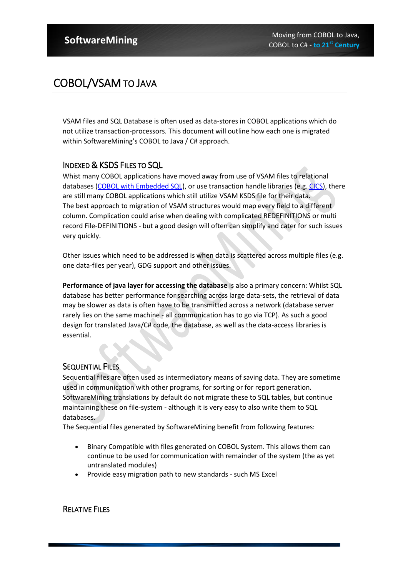## COBOL/VSAM TO JAVA

VSAM files and SQL Database is often used as data-stores in COBOL applications which do not utilize transaction-processors. This document will outline how each one is migrated within SoftwareMining's COBOL to Java / C# approach.

### INDEXED & KSDS FILES TO SQL

Whist many COBOL applications have moved away from use of VSAM files to relational databases [\(COBOL with Embedded SQL\)](http://www.softwaremining.com/cobol_dialects/cobol_ESQL_Migration_To_Java_CSharp.jsp), or use transaction handle libraries (e.g[. CICS\)](http://www.softwaremining.com/cobol_dialects/Cobol_CICS_Migration_to_Java_CSharp.jsp), there are still many COBOL applications which still utilize VSAM KSDS file for their data. The best approach to migration of VSAM structures would map every field to a different column. Complication could arise when dealing with complicated REDEFINITIONS or multi record File-DEFINITIONS - but a good design will often can simplify and cater for such issues very quickly.

Other issues which need to be addressed is when data is scattered across multiple files (e.g. one data-files per year), GDG support and other issues.

**Performance of java layer for accessing the database** is also a primary concern: Whilst SQL database has better performance for searching across large data-sets, the retrieval of data may be slower as data is often have to be transmitted across a network (database server rarely lies on the same machine - all communication has to go via TCP). As such a good design for translated Java/C# code, the database, as well as the data-access libraries is essential.

### **SEQUENTIAL FILES**

Sequential files are often used as intermediatory means of saving data. They are sometime used in communication with other programs, for sorting or for report generation. SoftwareMining translations by default do not migrate these to SQL tables, but continue maintaining these on file-system - although it is very easy to also write them to SQL databases.

The Sequential files generated by SoftwareMining benefit from following features:

- Binary Compatible with files generated on COBOL System. This allows them can continue to be used for communication with remainder of the system (the as yet untranslated modules)
- Provide easy migration path to new standards such MS Excel

RELATIVE FILES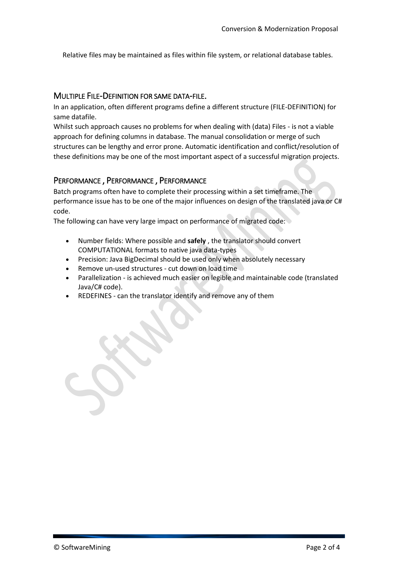Relative files may be maintained as files within file system, or relational database tables.

#### MULTIPLE FILE-DEFINITION FOR SAME DATA-FILE.

In an application, often different programs define a different structure (FILE-DEFINITION) for same datafile.

Whilst such approach causes no problems for when dealing with (data) Files - is not a viable approach for defining columns in database. The manual consolidation or merge of such structures can be lengthy and error prone. Automatic identification and conflict/resolution of these definitions may be one of the most important aspect of a successful migration projects.

#### PERFORMANCE , PERFORMANCE , PERFORMANCE

Batch programs often have to complete their processing within a set timeframe. The performance issue has to be one of the major influences on design of the translated java or C# code.

The following can have very large impact on performance of migrated code:

- Number fields: Where possible and **safely** , the translator should convert COMPUTATIONAL formats to native java data-types
- Precision: Java BigDecimal should be used only when absolutely necessary
- Remove un-used structures cut down on load time
- Parallelization is achieved much easier on legible and maintainable code (translated Java/C# code).
- REDEFINES can the translator identify and remove any of them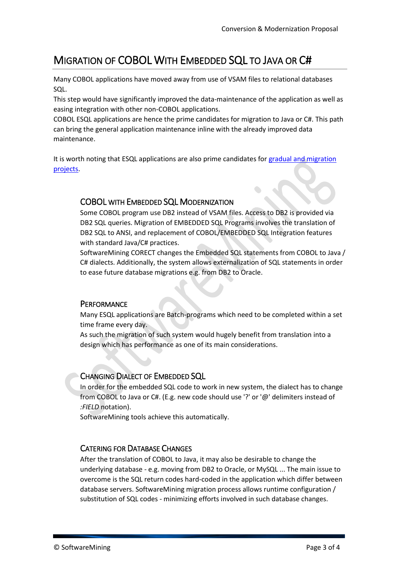# MIGRATION OF COBOL WITH EMBEDDED SQL TO JAVA OR C#

Many COBOL applications have moved away from use of VSAM files to relational databases SQL.

This step would have significantly improved the data-maintenance of the application as well as easing integration with other non-COBOL applications.

COBOL ESQL applications are hence the prime candidates for migration to Java or C#. This path can bring the general application maintenance inline with the already improved data maintenance.

It is worth noting that ESQL applications are also prime candidates for [gradual and migration](http://www.softwaremining.com/cobol_dialects/services/Incremental_Migration_COBOL_to_java.jsp)  [projects.](http://www.softwaremining.com/cobol_dialects/services/Incremental_Migration_COBOL_to_java.jsp)

## COBOL WITH EMBEDDED SQL MODERNIZATION

Some COBOL program use DB2 instead of VSAM files. Access to DB2 is provided via DB2 SQL queries. Migration of EMBEDDED SQL Programs involves the translation of DB2 SQL to ANSI, and replacement of COBOL/EMBEDDED SQL Integration features with standard Java/C# practices.

SoftwareMining CORECT changes the Embedded SQL statements from COBOL to Java / C# dialects. Additionally, the system allows externalization of SQL statements in order to ease future database migrations e.g. from DB2 to Oracle.

## **PERFORMANCE**

Many ESQL applications are Batch-programs which need to be completed within a set time frame every day.

As such the migration of such system would hugely benefit from translation into a design which has performance as one of its main considerations.

## CHANGING DIALECT OF EMBEDDED SQL

In order for the embedded SQL code to work in new system, the dialect has to change from COBOL to Java or C#. (E.g. new code should use '?' or '@' delimiters instead of *:FIELD* notation).

SoftwareMining tools achieve this automatically.

#### CATERING FOR DATABASE CHANGES

After the translation of COBOL to Java, it may also be desirable to change the underlying database - e.g. moving from DB2 to Oracle, or MySQL ... The main issue to overcome is the SQL return codes hard-coded in the application which differ between database servers. SoftwareMining migration process allows runtime configuration / substitution of SQL codes - minimizing efforts involved in such database changes.